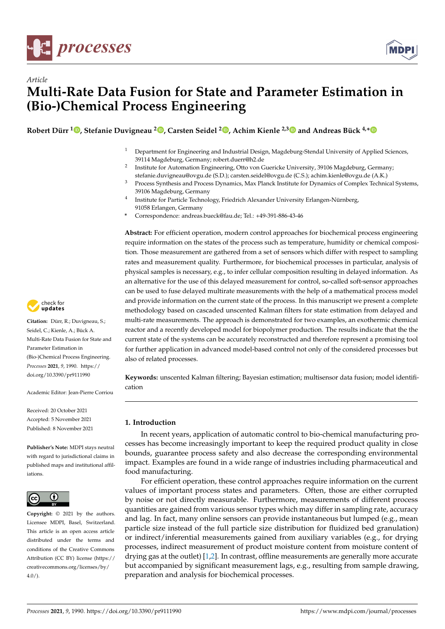



**Robert Dürr [1](https://orcid.org/0000-0001-5397-9302) , Stefanie Duvigneau <sup>2</sup> [,](https://orcid.org/0000-0002-7829-5190) Carsten Seidel <sup>2</sup> [,](https://orcid.org/0000-0003-0870-3651) Achim Kienle 2,[3](https://orcid.org/0000-0002-9011-0451) and Andreas Bück 4,[\\*](https://orcid.org/0000-0002-7803-1486)**

- <sup>1</sup> Department for Engineering and Industrial Design, Magdeburg-Stendal University of Applied Sciences, 39114 Magdeburg, Germany; robert.duerr@h2.de
- <sup>2</sup> Institute for Automation Engineering, Otto von Guericke University, 39106 Magdeburg, Germany; stefanie.duvigneau@ovgu.de (S.D.); carsten.seidel@ovgu.de (C.S.); achim.kienle@ovgu.de (A.K.)
- <sup>3</sup> Process Synthesis and Process Dynamics, Max Planck Institute for Dynamics of Complex Technical Systems, 39106 Magdeburg, Germany
- 4 Institute for Particle Technology, Friedrich Alexander University Erlangen-Nürnberg, 91058 Erlangen, Germany
- **\*** Correspondence: andreas.bueck@fau.de; Tel.: +49-391-886-43-46

**Abstract:** For efficient operation, modern control approaches for biochemical process engineering require information on the states of the process such as temperature, humidity or chemical composition. Those measurement are gathered from a set of sensors which differ with respect to sampling rates and measurement quality. Furthermore, for biochemical processes in particular, analysis of physical samples is necessary, e.g., to infer cellular composition resulting in delayed information. As an alternative for the use of this delayed measurement for control, so-called soft-sensor approaches can be used to fuse delayed multirate measurements with the help of a mathematical process model and provide information on the current state of the process. In this manuscript we present a complete methodology based on cascaded unscented Kalman filters for state estimation from delayed and multi-rate measurements. The approach is demonstrated for two examples, an exothermic chemical reactor and a recently developed model for biopolymer production. The results indicate that the the current state of the systems can be accurately reconstructed and therefore represent a promising tool for further application in advanced model-based control not only of the considered processes but also of related processes.

**Keywords:** unscented Kalman filtering; Bayesian estimation; multisensor data fusion; model identification

# **1. Introduction**

In recent years, application of automatic control to bio-chemical manufacturing processes has become increasingly important to keep the required product quality in close bounds, guarantee process safety and also decrease the corresponding environmental impact. Examples are found in a wide range of industries including pharmaceutical and food manufacturing.

For efficient operation, these control approaches require information on the current values of important process states and parameters. Often, those are either corrupted by noise or not directly measurable. Furthermore, measurements of different process quantities are gained from various sensor types which may differ in sampling rate, accuracy and lag. In fact, many online sensors can provide instantaneous but lumped (e.g., mean particle size instead of the full particle size distribution for fluidized bed granulation) or indirect/inferential measurements gained from auxiliary variables (e.g., for drying processes, indirect measurement of product moisture content from moisture content of drying gas at the outlet) [\[1](#page-13-0)[,2\]](#page-13-1). In contrast, offline measurements are generally more accurate but accompanied by significant measurement lags, e.g., resulting from sample drawing, preparation and analysis for biochemical processes.



**Citation:** Dürr, R.; Duvigneau, S.; Seidel, C.; Kienle, A.; Bück A. Multi-Rate Data Fusion for State and Parameter Estimation in (Bio-)Chemical Process Engineering. *Processes* **2021**, *9*, 1990. [https://](https://doi.org/10.3390/pr9111990) [doi.org/10.3390/pr9111990](https://doi.org/10.3390/pr9111990)

Academic Editor: Jean-Pierre Corriou

Received: 20 October 2021 Accepted: 5 November 2021 Published: 8 November 2021

**Publisher's Note:** MDPI stays neutral with regard to jurisdictional claims in published maps and institutional affiliations.



**Copyright:** © 2021 by the authors. Licensee MDPI, Basel, Switzerland. This article is an open access article distributed under the terms and conditions of the Creative Commons Attribution (CC BY) license (https:/[/](https://creativecommons.org/licenses/by/4.0/) [creativecommons.org/licenses/by/](https://creativecommons.org/licenses/by/4.0/)  $4.0/$ ).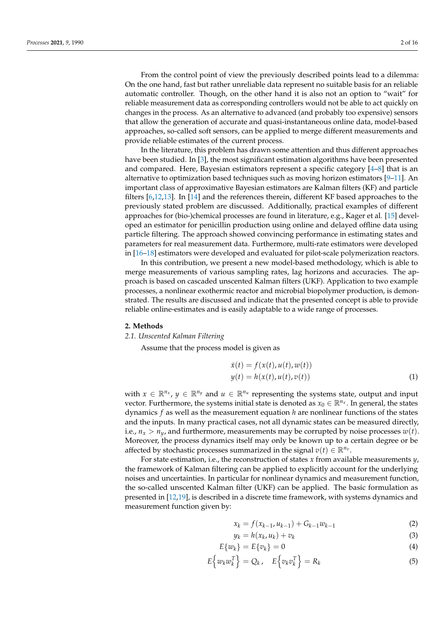From the control point of view the previously described points lead to a dilemma: On the one hand, fast but rather unreliable data represent no suitable basis for an reliable automatic controller. Though, on the other hand it is also not an option to "wait" for reliable measurement data as corresponding controllers would not be able to act quickly on changes in the process. As an alternative to advanced (and probably too expensive) sensors that allow the generation of accurate and quasi-instantaneous online data, model-based approaches, so-called soft sensors, can be applied to merge different measurements and provide reliable estimates of the current process.

In the literature, this problem has drawn some attention and thus different approaches have been studied. In [\[3\]](#page-13-2), the most significant estimation algorithms have been presented and compared. Here, Bayesian estimators represent a specific category  $[4-8]$  $[4-8]$  that is an alternative to optimization based techniques such as moving horizon estimators [\[9](#page-14-1)[–11\]](#page-14-2). An important class of approximative Bayesian estimators are Kalman filters (KF) and particle filters [\[6,](#page-13-4)[12,](#page-14-3)[13\]](#page-14-4). In [\[14\]](#page-14-5) and the references therein, different KF based approaches to the previously stated problem are discussed. Additionally, practical examples of different approaches for (bio-)chemical processes are found in literature, e.g., Kager et al. [\[15\]](#page-14-6) developed an estimator for penicillin production using online and delayed offline data using particle filtering. The approach showed convincing performance in estimating states and parameters for real measurement data. Furthermore, multi-rate estimators were developed in [\[16](#page-14-7)[–18\]](#page-14-8) estimators were developed and evaluated for pilot-scale polymerization reactors.

In this contribution, we present a new model-based methodology, which is able to merge measurements of various sampling rates, lag horizons and accuracies. The approach is based on cascaded unscented Kalman filters (UKF). Application to two example processes, a nonlinear exothermic reactor and microbial biopolymer production, is demonstrated. The results are discussed and indicate that the presented concept is able to provide reliable online-estimates and is easily adaptable to a wide range of processes.

#### **2. Methods**

#### *2.1. Unscented Kalman Filtering*

Assume that the process model is given as

$$
\dot{x}(t) = f(x(t), u(t), w(t)) \n y(t) = h(x(t), u(t), v(t))
$$
\n(1)

with  $x \in \mathbb{R}^{n_x}$ ,  $y \in \mathbb{R}^{n_y}$  and  $u \in \mathbb{R}^{n_u}$  representing the systems state, output and input vector. Furthermore, the systems initial state is denoted as  $x_0 \in \mathbb{R}^{n_x}$ . In general, the states dynamics *f* as well as the measurement equation *h* are nonlinear functions of the states and the inputs. In many practical cases, not all dynamic states can be measured directly, i.e.,  $n_x > n_y$ , and furthermore, measurements may be corrupted by noise processes  $w(t)$ . Moreover, the process dynamics itself may only be known up to a certain degree or be affected by stochastic processes summarized in the signal  $v(t) \in \mathbb{R}^{n_v}$ .

For state estimation, i.e., the reconstruction of states *x* from available measurements *y*, the framework of Kalman filtering can be applied to explicitly account for the underlying noises and uncertainties. In particular for nonlinear dynamics and measurement function, the so-called unscented Kalman filter (UKF) can be applied. The basic formulation as presented in [\[12,](#page-14-3)[19\]](#page-14-9), is described in a discrete time framework, with systems dynamics and measurement function given by:

$$
x_k = f(x_{k-1}, u_{k-1}) + G_{k-1}w_{k-1}
$$
 (2)

$$
y_k = h(x_k, u_k) + v_k \tag{3}
$$

$$
E\{w_k\} = E\{v_k\} = 0 \tag{4}
$$

$$
E\left\{w_kw_k^T\right\} = Q_k, \quad E\left\{v_kv_k^T\right\} = R_k \tag{5}
$$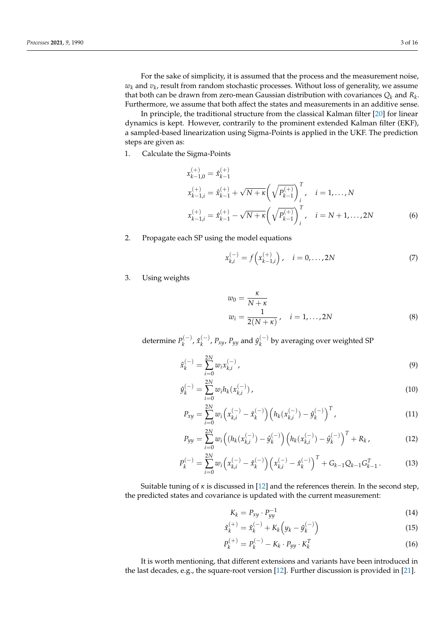For the sake of simplicity, it is assumed that the process and the measurement noise,  $w_k$  and  $v_k$ , result from random stochastic processes. Without loss of generality, we assume that both can be drawn from zero-mean Gaussian distribution with covariances *Q<sup>k</sup>* and *R<sup>k</sup>* . Furthermore, we assume that both affect the states and measurements in an additive sense.

In principle, the traditional structure from the classical Kalman filter [\[20\]](#page-14-10) for linear dynamics is kept. However, contrarily to the prominent extended Kalman filter (EKF), a sampled-based linearization using Sigma-Points is applied in the UKF. The prediction steps are given as:

1. Calculate the Sigma-Points

$$
x_{k-1,0}^{(+)} = \hat{x}_{k-1}^{(+)}
$$
  
\n
$$
x_{k-1,i}^{(+)} = \hat{x}_{k-1}^{(+)} + \sqrt{N+\kappa} \left(\sqrt{P_{k-1}^{(+)}}\right)_i^T, \quad i = 1,...,N
$$
  
\n
$$
x_{k-1,i}^{(+)} = \hat{x}_{k-1}^{(+)} - \sqrt{N+\kappa} \left(\sqrt{P_{k-1}^{(+)}}\right)_i^T, \quad i = N+1,...,2N
$$
 (6)

2. Propagate each SP using the model equations

$$
x_{k,i}^{(-)} = f\left(x_{k-1,i}^{(+)}\right), \quad i = 0, \dots, 2N
$$
 (7)

3. Using weights

$$
w_0 = \frac{\kappa}{N + \kappa} \nw_i = \frac{1}{2(N + \kappa)}, \quad i = 1, ..., 2N
$$
\n(8)

determine  $P_k^{(-)}$ *k*<sup>(−)</sup>,  $\hat{x}_{k}^{(-)}$  $\binom{(-)}{k}$ ,  $P_{xy}$ ,  $P_{yy}$  and  $\hat{y}_k^{(-)}$  $\binom{(-)}{k}$  by averaging over weighted SP

$$
\hat{x}_k^{(-)} = \sum_{i=0}^{2N} w_i x_{k,i}^{(-)}, \tag{9}
$$

$$
\hat{y}_k^{(-)} = \sum_{i=0}^{2N} w_i h_k(x_{k,i}^{(-)})\,,\tag{10}
$$

$$
P_{xy} = \sum_{i=0}^{2N} w_i \left( x_{k,i}^{(-)} - \hat{x}_k^{(-)} \right) \left( h_k(x_{k,i}^{(-)}) - \hat{y}_k^{(-)} \right)^T,
$$
\n(11)

$$
P_{yy} = \sum_{i=0}^{2N} w_i \Big( (h_k(x_{k,i}^{(-)}) - \hat{y}_k^{(-)}) \Big( h_k(x_{k,i}^{(-)}) - \hat{y}_k^{(-)} \Big)^T + R_k, \tag{12}
$$

$$
P_k^{(-)} = \sum_{i=0}^{2N} w_i \left( x_{k,i}^{(-)} - \hat{x}_k^{(-)} \right) \left( x_{k,i}^{(-)} - \hat{x}_k^{(-)} \right)^T + G_{k-1} Q_{k-1} G_{k-1}^T. \tag{13}
$$

Suitable tuning of *κ* is discussed in [\[12\]](#page-14-3) and the references therein. In the second step, the predicted states and covariance is updated with the current measurement:

$$
K_k = P_{xy} \cdot P_{yy}^{-1} \tag{14}
$$

$$
\hat{x}_{k}^{(+)} = \hat{x}_{k}^{(-)} + K_{k} \left( y_{k} - \hat{y}_{k}^{(-)} \right)
$$
\n(15)

$$
P_k^{(+)} = P_k^{(-)} - K_k \cdot P_{yy} \cdot K_k^T
$$
\n(16)

It is worth mentioning, that different extensions and variants have been introduced in the last decades, e.g., the square-root version [\[12\]](#page-14-3). Further discussion is provided in [\[21\]](#page-14-11).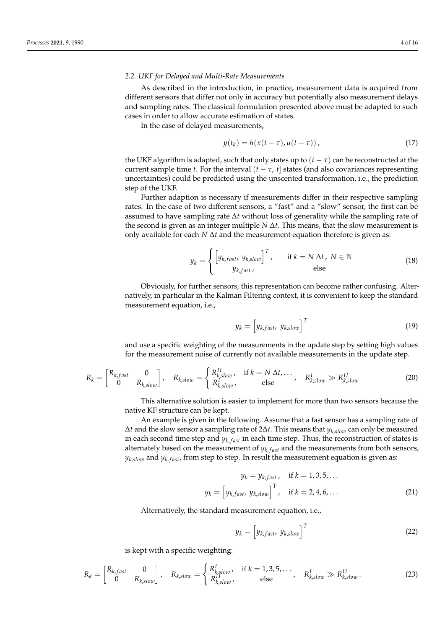### *2.2. UKF for Delayed and Multi-Rate Measurements*

As described in the introduction, in practice, measurement data is acquired from different sensors that differ not only in accuracy but potentially also measurement delays and sampling rates. The classical formulation presented above must be adapted to such cases in order to allow accurate estimation of states.

In the case of delayed measurements,

$$
y(t_k) = h(x(t-\tau), u(t-\tau)), \qquad (17)
$$

the UKF algorithm is adapted, such that only states up to  $(t - \tau)$  can be reconstructed at the current sample time *t*. For the interval  $(t - \tau, t]$  states (and also covariances representing uncertainties) could be predicted using the unscented transformation, i.e., the prediction step of the UKF.

Further adaption is necessary if measurements differ in their respective sampling rates. In the case of two different sensors, a "fast" and a "slow" sensor, the first can be assumed to have sampling rate ∆*t* without loss of generality while the sampling rate of the second is given as an integer multiple *N* ∆*t*. This means, that the slow measurement is only available for each *N*  $\Delta t$  and the measurement equation therefore is given as:

$$
y_k = \begin{cases} \begin{bmatrix} y_{k, fast}, y_{k, slow} \end{bmatrix}^T, & \text{if } k = N \, \Delta t, \ N \in \mathbb{N} \\ y_{k, fast}, & \text{else} \end{bmatrix} \tag{18}
$$

Obviously, for further sensors, this representation can become rather confusing. Alternatively, in particular in the Kalman Filtering context, it is convenient to keep the standard measurement equation, i.e.,

$$
y_k = \left[ y_{k, fast}, \, y_{k, slow} \right]^T \tag{19}
$$

and use a specific weighting of the measurements in the update step by setting high values for the measurement noise of currently not available measurements in the update step.

$$
R_k = \begin{bmatrix} R_{k, fast} & 0 \\ 0 & R_{k, slow} \end{bmatrix}, \quad R_{k, slow} = \begin{cases} R_{k, slow}^{II}, & \text{if } k = N \, \Delta t, \dots \\ R_{k, slow}^{I}, & \text{else} \end{cases}, \quad R_{k, slow}^{I} \gg R_{k, slow}^{II} \tag{20}
$$

This alternative solution is easier to implement for more than two sensors because the native KF structure can be kept.

An example is given in the following. Assume that a fast sensor has a sampling rate of ∆*t* and the slow sensor a sampling rate of 2∆*t*. This means that *yk*,*slow* can only be measured in each second time step and  $y_{k, fast}$  in each time step. Thus, the reconstruction of states is alternately based on the measurement of  $y_{k, fast}$  and the measurements from both sensors,  $y_{k,slow}$  and  $y_{k,fast}$ , from step to step. In result the measurement equation is given as:

$$
y_k = y_{k, fast}, \quad \text{if } k = 1, 3, 5, ...
$$

$$
y_k = \begin{bmatrix} y_{k, fast}, & y_{k, slow} \end{bmatrix}^T, \quad \text{if } k = 2, 4, 6, ... \tag{21}
$$

Alternatively, the standard measurement equation, i.e.,

$$
y_k = \left[ y_{k, fast}, \, y_{k, slow} \right]^T \tag{22}
$$

is kept with a specific weighting:

$$
R_k = \begin{bmatrix} R_{k, fast} & 0 \\ 0 & R_{k, slow} \end{bmatrix}, \quad R_{k, slow} = \begin{cases} R_{k, slow}^I, & \text{if } k = 1, 3, 5, \dots \\ R_{k, slow}^{II}, & \text{else} \end{cases}, \quad R_{k, slow}^I \gg R_{k, slow}^{II}.
$$
\n(23)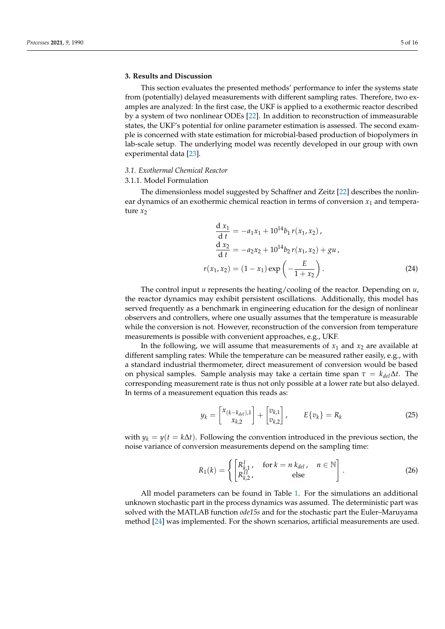### **3. Results and Discussion**

This section evaluates the presented methods' performance to infer the systems state from (potentially) delayed measurements with different sampling rates. Therefore, two examples are analyzed: In the first case, the UKF is applied to a exothermic reactor described by a system of two nonlinear ODEs [\[22\]](#page-14-12). In addition to reconstruction of immeasurable states, the UKF's potential for online parameter estimation is assessed. The second example is concerned with state estimation for microbial-based production of biopolymers in lab-scale setup. The underlying model was recently developed in our group with own experimental data [\[23\]](#page-14-13).

# *3.1. Exothermal Chemical Reactor*

#### 3.1.1. Model Formulation

The dimensionless model suggested by Schaffner and Zeitz [\[22\]](#page-14-12) describes the nonlinear dynamics of an exothermic chemical reaction in terms of conversion  $x_1$  and temperature  $x_2$ 

$$
\frac{d x_1}{d t} = -a_1 x_1 + 10^{14} b_1 r(x_1, x_2),
$$
  
\n
$$
\frac{d x_2}{d t} = -a_2 x_2 + 10^{14} b_2 r(x_1, x_2) + gu,
$$
  
\n
$$
r(x_1, x_2) = (1 - x_1) exp\left(-\frac{E}{1 + x_2}\right).
$$
\n(24)

The control input *u* represents the heating/cooling of the reactor. Depending on *u*, the reactor dynamics may exhibit persistent oscillations. Additionally, this model has served frequently as a benchmark in engineering education for the design of nonlinear observers and controllers, where one usually assumes that the temperature is measurable while the conversion is not. However, reconstruction of the conversion from temperature measurements is possible with convenient approaches, e.g., UKF.

In the following, we will assume that measurements of  $x_1$  and  $x_2$  are available at different sampling rates: While the temperature can be measured rather easily, e.g., with a standard industrial thermometer, direct measurement of conversion would be based on physical samples. Sample analysis may take a certain time span  $\tau = k_{del}\Delta t$ . The corresponding measurement rate is thus not only possible at a lower rate but also delayed. In terms of a measurement equation this reads as:

$$
y_k = \begin{bmatrix} x_{(k-k_{del}),1} \\ x_{k,2} \end{bmatrix} + \begin{bmatrix} v_{k,1} \\ v_{k,2} \end{bmatrix}, \qquad E\{v_k\} = R_k \tag{25}
$$

with  $y_k = y(t = k\Delta t)$ . Following the convention introduced in the previous section, the noise variance of conversion measurements depend on the sampling time:

$$
R_1(k) = \left\{ \begin{bmatrix} R_{k,1}^1, & \text{for } k = n \, k_{del}, & n \in \mathbb{N} \\ R_{k,2}^{II}, & \text{else} \end{bmatrix} \right. . \tag{26}
$$

All model parameters can be found in Table [1.](#page-5-0) For the simulations an additional unknown stochastic part in the process dynamics was assumed. The deterministic part was solved with the MATLAB function *ode15s* and for the stochastic part the Euler–Maruyama method [\[24\]](#page-14-14) was implemented. For the shown scenarios, artificial measurements are used.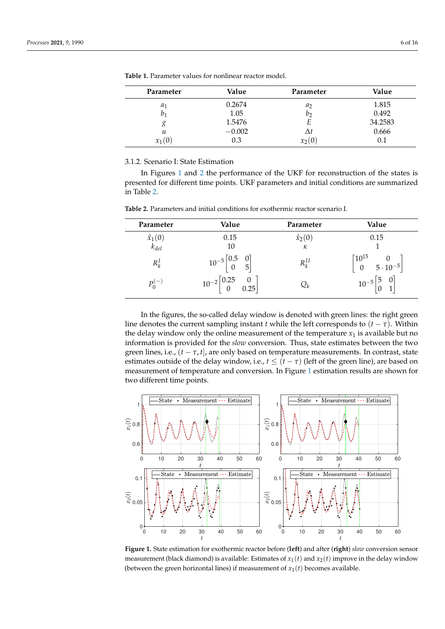| Parameter     | Value    | Parameter  | Value     |
|---------------|----------|------------|-----------|
| $a_1$         | 0.2674   | $a_2$      | 1.815     |
| b1            | 1.05     | $v_2$      | 0.492     |
| g             | 1.5476   | E          | 34.2583   |
| $\mathcal{U}$ | $-0.002$ | $\Delta t$ | 0.666     |
| $x_1(0)$      | 0.3      | $x_2(0)$   | $\rm 0.1$ |

<span id="page-5-0"></span>**Table 1.** Parameter values for nonlinear reactor model.

# 3.1.2. Scenario I: State Estimation

In Figures [1](#page-5-1) and [2](#page-6-0) the performance of the UKF for reconstruction of the states is presented for different time points. UKF parameters and initial conditions are summarized in Table [2.](#page-5-2)

| Parameter                   | Value                                                       | Parameter                    | Value                                                            |
|-----------------------------|-------------------------------------------------------------|------------------------------|------------------------------------------------------------------|
|                             | 0.15                                                        | $\hat{x}_2(0)$               | 0.15                                                             |
| $\hat{x}_1(0)$<br>$k_{del}$ | 10                                                          | $\kappa$                     |                                                                  |
| $R_k^I$                     | $10^{-5}\begin{bmatrix} 0.5 & 0 \\ 0 & 5 \end{bmatrix}$     | $R_k^{II}$                   | $\begin{bmatrix} 10^{15} & 0 \\ 0 & 5\cdot10^{-5} \end{bmatrix}$ |
| $P_0^{(-)}$                 | $10^{-2}\begin{bmatrix} 0.25 & 0 \\ 0 & 0.25 \end{bmatrix}$ | $\boldsymbol{\mathcal{Q}}_k$ | $10^{-5}\begin{bmatrix} 5 & 0 \\ 0 & 1 \end{bmatrix}$            |

<span id="page-5-2"></span>**Table 2.** Parameters and initial conditions for exothermic reactor scenario I.

In the figures, the so-called delay window is denoted with green lines: the right green line denotes the current sampling instant *t* while the left corresponds to  $(t - \tau)$ . Within the delay window only the online measurement of the temperature  $x_1$  is available but no information is provided for the *slow* conversion. Thus, state estimates between the two green lines, i.e.,  $(t - \tau, t]$ , are only based on temperature measurements. In contrast, state estimates outside of the delay window, i.e.,  $t \leq (t - \tau)$  (left of the green line), are based on measurement of temperature and conversion. In Figure [1](#page-5-1) estimation results are shown for two different time points.

<span id="page-5-1"></span>

**Figure 1.** State estimation for exothermic reactor before (**left**) and after (**right**) *slow* conversion sensor measurement (black diamond) is available: Estimates of  $x_1(t)$  and  $x_2(t)$  improve in the delay window (between the green horizontal lines) if measurement of  $x_1(t)$  becomes available.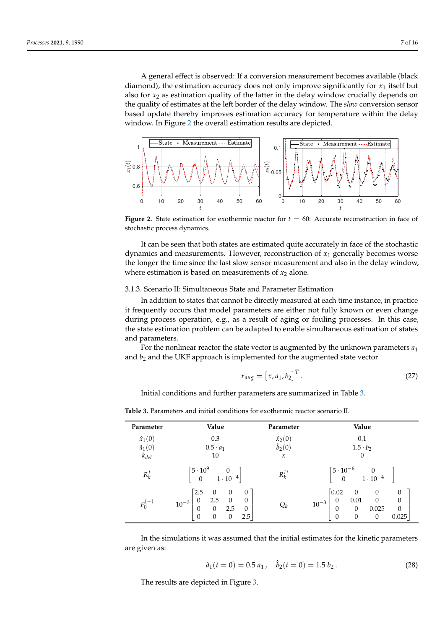A general effect is observed: If a conversion measurement becomes available (black diamond), the estimation accuracy does not only improve significantly for  $x_1$  itself but also for  $x<sub>2</sub>$  as estimation quality of the latter in the delay window crucially depends on the quality of estimates at the left border of the delay window. The *slow* conversion sensor based update thereby improves estimation accuracy for temperature within the delay window. In Figure [2](#page-6-0) the overall estimation results are depicted.

<span id="page-6-0"></span>

**Figure 2.** State estimation for exothermic reactor for *t* = 60: Accurate reconstruction in face of stochastic process dynamics.

It can be seen that both states are estimated quite accurately in face of the stochastic dynamics and measurements. However, reconstruction of *x*<sup>1</sup> generally becomes worse the longer the time since the last slow sensor measurement and also in the delay window, where estimation is based on measurements of  $x_2$  alone.

# 3.1.3. Scenario II: Simultaneous State and Parameter Estimation

In addition to states that cannot be directly measured at each time instance, in practice it frequently occurs that model parameters are either not fully known or even change during process operation, e.g., as a result of aging or fouling processes. In this case, the state estimation problem can be adapted to enable simultaneous estimation of states and parameters.

For the nonlinear reactor the state vector is augmented by the unknown parameters *a*<sup>1</sup> and  $b_2$  and the UKF approach is implemented for the augmented state vector

$$
x_{aug} = \begin{bmatrix} x, a_1, b_2 \end{bmatrix}^T.
$$
 (27)

Initial conditions and further parameters are summarized in Table [3.](#page-6-1)

| Parameter      | Value                                                                                                                                                                                                                   | Parameter       | Value                                                                                                                                                                                                                                                |
|----------------|-------------------------------------------------------------------------------------------------------------------------------------------------------------------------------------------------------------------------|-----------------|------------------------------------------------------------------------------------------------------------------------------------------------------------------------------------------------------------------------------------------------------|
| $\hat{x}_1(0)$ | 0.3                                                                                                                                                                                                                     | $\hat{x}_2(0)$  | 0.1                                                                                                                                                                                                                                                  |
| $\hat{a}_1(0)$ | $0.5 \cdot a_1$                                                                                                                                                                                                         | $\hat{b}_2(0)$  | $1.5 \cdot b_2$                                                                                                                                                                                                                                      |
| $k_{del}$      | 10                                                                                                                                                                                                                      | $\kappa$        | $\theta$                                                                                                                                                                                                                                             |
| $R_k^I$        | $\begin{bmatrix} 5 \cdot 10^9 & 0 \\ 0 & 1 \cdot 10^{-4} \end{bmatrix}$                                                                                                                                                 | $R_k^{II}$      | $\begin{bmatrix} 5 \cdot 10^{-6} & 0 \\ 0 & 1 \cdot 10^{-4} \end{bmatrix}$                                                                                                                                                                           |
| $P_0^{(-)}$    | $\lceil 2.5 \rceil$<br>$\theta$<br>$\theta$<br>$\theta$<br>2.5<br>$\begin{array}{c} 0 \\ 2.5 \end{array}$<br>$\theta$<br>$10^{-3}$<br>$\boldsymbol{0}$<br>$\sim$ 0<br>$\theta$<br>$\mathbf{0}$<br>2.5<br>$\overline{0}$ | $\mathcal{Q}_k$ | $\lceil 0.02 \rceil$<br>$\boldsymbol{0}$<br>$\boldsymbol{0}$<br>$\theta$<br>$\mathbf{0}$<br>$\theta$<br>0.01<br>0<br>$10^{-3}$<br>$\boldsymbol{0}$<br>0.025<br>$\boldsymbol{0}$<br>$\theta$<br>$\mathbf{0}$<br>$\boldsymbol{0}$<br>0.025<br>$\theta$ |

<span id="page-6-1"></span>**Table 3.** Parameters and initial conditions for exothermic reactor scenario II.

In the simulations it was assumed that the initial estimates for the kinetic parameters are given as:

$$
\hat{a}_1(t=0) = 0.5 a_1, \quad \hat{b}_2(t=0) = 1.5 b_2. \tag{28}
$$

The results are depicted in Figure [3.](#page-7-0)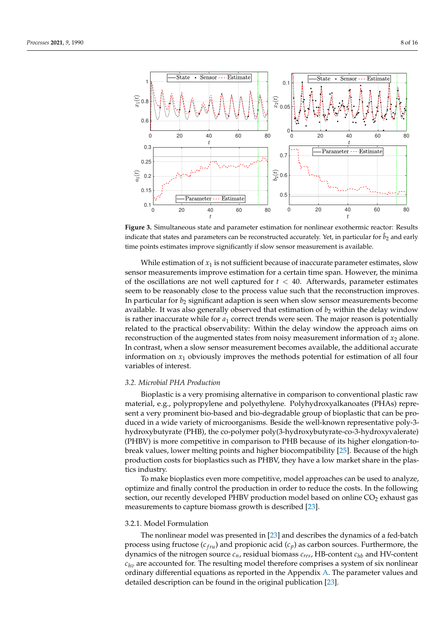<span id="page-7-0"></span>

**Figure 3.** Simultaneous state and parameter estimation for nonlinear exothermic reactor: Results indicate that states and parameters can be reconstructed accurately. Yet, in particular for  $\hat{b}_2$  and early time points estimates improve significantly if slow sensor measurement is available.

While estimation of  $x_1$  is not sufficient because of inaccurate parameter estimates, slow sensor measurements improve estimation for a certain time span. However, the minima of the oscillations are not well captured for  $t < 40$ . Afterwards, parameter estimates seem to be reasonably close to the process value such that the reconstruction improves. In particular for  $b_2$  significant adaption is seen when slow sensor measurements become available. It was also generally observed that estimation of  $b<sub>2</sub>$  within the delay window is rather inaccurate while for *a*<sup>1</sup> correct trends were seen. The major reason is potentially related to the practical observability: Within the delay window the approach aims on reconstruction of the augmented states from noisy measurement information of  $x_2$  alone. In contrast, when a slow sensor measurement becomes available, the additional accurate information on *x*<sup>1</sup> obviously improves the methods potential for estimation of all four variables of interest.

#### *3.2. Microbial PHA Production*

Bioplastic is a very promising alternative in comparison to conventional plastic raw material, e.g., polypropylene and polyethylene. Polyhydroxyalkanoates (PHAs) represent a very prominent bio-based and bio-degradable group of bioplastic that can be produced in a wide variety of microorganisms. Beside the well-known representative poly-3 hydroxybutyrate (PHB), the co-polymer poly(3-hydroxybutyrate-co-3-hydroxyvalerate) (PHBV) is more competitive in comparison to PHB because of its higher elongation-tobreak values, lower melting points and higher biocompatibility [\[25\]](#page-14-15). Because of the high production costs for bioplastics such as PHBV, they have a low market share in the plastics industry.

To make bioplastics even more competitive, model approaches can be used to analyze, optimize and finally control the production in order to reduce the costs. In the following section, our recently developed PHBV production model based on online  $CO<sub>2</sub>$  exhaust gas measurements to capture biomass growth is described [\[23\]](#page-14-13).

#### 3.2.1. Model Formulation

The nonlinear model was presented in [\[23\]](#page-14-13) and describes the dynamics of a fed-batch process using fructose ( $c_{fru}$ ) and propionic acid ( $c_p$ ) as carbon sources. Furthermore, the dynamics of the nitrogen source *cn*, residual biomass *cres*, HB-content *chb* and HV-content *chv* are accounted for. The resulting model therefore comprises a system of six nonlinear ordinary differential equations as reported in the Appendix [A.](#page-10-0) The parameter values and detailed description can be found in the original publication [\[23\]](#page-14-13).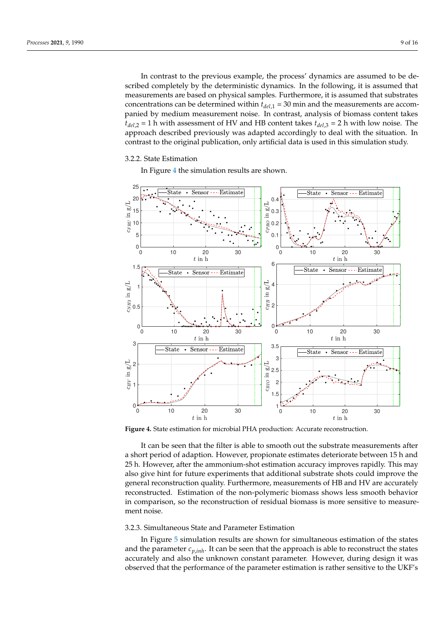In contrast to the previous example, the process' dynamics are assumed to be described completely by the deterministic dynamics. In the following, it is assumed that measurements are based on physical samples. Furthermore, it is assumed that substrates concentrations can be determined within  $t_{del,1} = 30$  min and the measurements are accompanied by medium measurement noise. In contrast, analysis of biomass content takes *tdel*,2 = 1 h with assessment of HV and HB content takes *tdel*,3 = 2 h with low noise. The approach described previously was adapted accordingly to deal with the situation. In contrast to the original publication, only artificial data is used in this simulation study.

### 3.2.2. State Estimation

In Figure [4](#page-8-0) the simulation results are shown.

<span id="page-8-0"></span>

**Figure 4.** State estimation for microbial PHA production: Accurate reconstruction.

It can be seen that the filter is able to smooth out the substrate measurements after a short period of adaption. However, propionate estimates deteriorate between 15 h and 25 h. However, after the ammonium-shot estimation accuracy improves rapidly. This may also give hint for future experiments that additional substrate shots could improve the general reconstruction quality. Furthermore, measurements of HB and HV are accurately reconstructed. Estimation of the non-polymeric biomass shows less smooth behavior in comparison, so the reconstruction of residual biomass is more sensitive to measurement noise.

# 3.2.3. Simultaneous State and Parameter Estimation

In Figure [5](#page-9-0) simulation results are shown for simultaneous estimation of the states and the parameter  $c_{p,inh}$ . It can be seen that the approach is able to reconstruct the states accurately and also the unknown constant parameter. However, during design it was observed that the performance of the parameter estimation is rather sensitive to the UKF's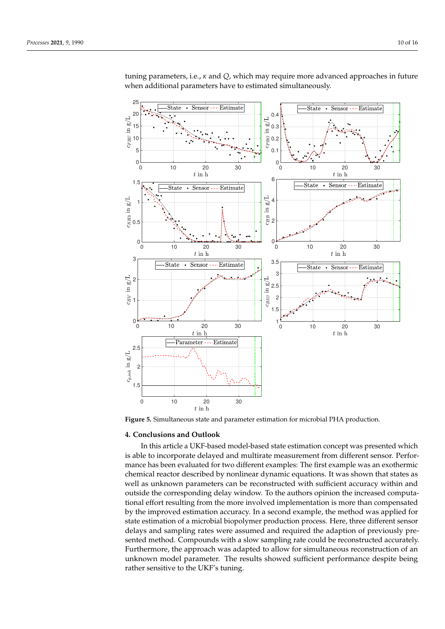<span id="page-9-0"></span>

tuning parameters, i.e., *κ* and *Q*, which may require more advanced approaches in future when additional parameters have to estimated simultaneously.

**Figure 5.** Simultaneous state and parameter estimation for microbial PHA production.

# **4. Conclusions and Outlook**

In this article a UKF-based model-based state estimation concept was presented which is able to incorporate delayed and multirate measurement from different sensor. Performance has been evaluated for two different examples: The first example was an exothermic chemical reactor described by nonlinear dynamic equations. It was shown that states as well as unknown parameters can be reconstructed with sufficient accuracy within and outside the corresponding delay window. To the authors opinion the increased computational effort resulting from the more involved implementation is more than compensated by the improved estimation accuracy. In a second example, the method was applied for state estimation of a microbial biopolymer production process. Here, three different sensor delays and sampling rates were assumed and required the adaption of previously presented method. Compounds with a slow sampling rate could be reconstructed accurately. Furthermore, the approach was adapted to allow for simultaneous reconstruction of an unknown model parameter. The results showed sufficient performance despite being rather sensitive to the UKF's tuning.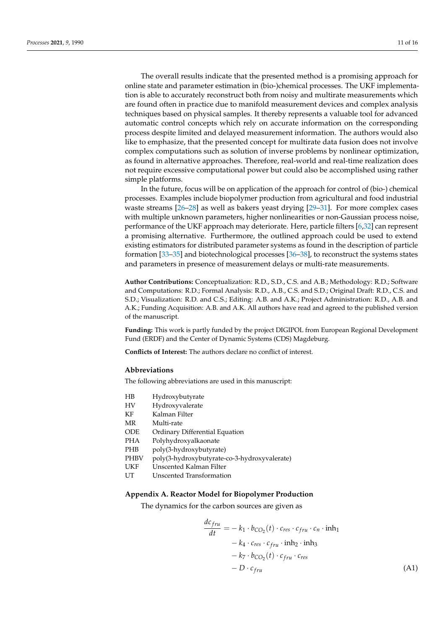The overall results indicate that the presented method is a promising approach for online state and parameter estimation in (bio-)chemical processes. The UKF implementation is able to accurately reconstruct both from noisy and multirate measurements which are found often in practice due to manifold measurement devices and complex analysis techniques based on physical samples. It thereby represents a valuable tool for advanced automatic control concepts which rely on accurate information on the corresponding process despite limited and delayed measurement information. The authors would also like to emphasize, that the presented concept for multirate data fusion does not involve complex computations such as solution of inverse problems by nonlinear optimization, as found in alternative approaches. Therefore, real-world and real-time realization does not require excessive computational power but could also be accomplished using rather simple platforms.

In the future, focus will be on application of the approach for control of (bio-) chemical processes. Examples include biopolymer production from agricultural and food industrial waste streams [\[26](#page-14-16)[–28\]](#page-14-17) as well as bakers yeast drying [\[29](#page-14-18)[–31\]](#page-14-19). For more complex cases with multiple unknown parameters, higher nonlinearities or non-Gaussian process noise, performance of the UKF approach may deteriorate. Here, particle filters [\[6,](#page-13-4)[32\]](#page-14-20) can represent a promising alternative. Furthermore, the outlined approach could be used to extend existing estimators for distributed parameter systems as found in the description of particle formation [\[33](#page-14-21)[–35\]](#page-14-22) and biotechnological processes [\[36–](#page-14-23)[38\]](#page-15-0), to reconstruct the systems states and parameters in presence of measurement delays or multi-rate measurements.

**Author Contributions:** Conceptualization: R.D., S.D., C.S. and A.B.; Methodology: R.D.; Software and Computations: R.D.; Formal Analysis: R.D., A.B., C.S. and S.D.; Original Draft: R.D., C.S. and S.D.; Visualization: R.D. and C.S.; Editing: A.B. and A.K.; Project Administration: R.D., A.B. and A.K.; Funding Acquisition: A.B. and A.K. All authors have read and agreed to the published version of the manuscript.

**Funding:** This work is partly funded by the project DIGIPOL from European Regional Development Fund (ERDF) and the Center of Dynamic Systems (CDS) Magdeburg.

**Conflicts of Interest:** The authors declare no conflict of interest.

#### **Abbreviations**

The following abbreviations are used in this manuscript:

- HB Hydroxybutyrate
- HV Hydroxyvalerate
- KF Kalman Filter
- MR Multi-rate
- ODE Ordinary Differential Equation
- PHA Polyhydroxyalkaonate
- PHB poly(3-hydroxybutyrate)
- PHBV poly(3-hydroxybutyrate-co-3-hydroxyvalerate)
- UKF Unscented Kalman Filter
- UT Unscented Transformation

# <span id="page-10-0"></span>**Appendix A. Reactor Model for Biopolymer Production**

The dynamics for the carbon sources are given as

<span id="page-10-1"></span>
$$
\frac{dc_{fru}}{dt} = -k_1 \cdot b_{CO_2}(t) \cdot c_{res} \cdot c_{fru} \cdot c_n \cdot \text{inh}_1 \n- k_4 \cdot c_{res} \cdot c_{fru} \cdot \text{inh}_2 \cdot \text{inh}_3 \n- k_7 \cdot b_{CO_2}(t) \cdot c_{fru} \cdot c_{res} \n- D \cdot c_{fru}
$$
\n(A1)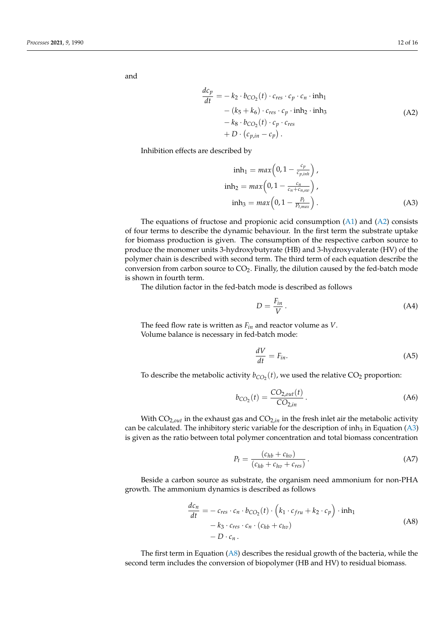<span id="page-11-0"></span>and

$$
\frac{dc_p}{dt} = -k_2 \cdot b_{CO_2}(t) \cdot c_{res} \cdot c_p \cdot c_n \cdot \text{inh}_1 \n- (k_5 + k_6) \cdot c_{res} \cdot c_p \cdot \text{inh}_2 \cdot \text{inh}_3 \n- k_8 \cdot b_{CO_2}(t) \cdot c_p \cdot c_{res} \n+ D \cdot (c_{p,in} - c_p).
$$
\n(A2)

Inhibition effects are described by

$$
\begin{aligned}\n\text{inh}_1 &= \max\left(0, 1 - \frac{c_p}{c_{p,\text{inh}}}\right), \\
\text{inh}_2 &= \max\left(0, 1 - \frac{c_n}{c_n + c_{n,\text{sw}}}\right), \\
\text{inh}_3 &= \max\left(0, 1 - \frac{P_t}{P_{t,\text{max}}}\right).\n\end{aligned} \tag{A3}
$$

The equations of fructose and propionic acid consumption [\(A1\)](#page-10-1) and [\(A2\)](#page-11-0) consists of four terms to describe the dynamic behaviour. In the first term the substrate uptake for biomass production is given. The consumption of the respective carbon source to produce the monomer units 3-hydroxybutyrate (HB) and 3-hydroxyvalerate (HV) of the polymer chain is described with second term. The third term of each equation describe the conversion from carbon source to CO2. Finally, the dilution caused by the fed-batch mode is shown in fourth term.

The dilution factor in the fed-batch mode is described as follows

<span id="page-11-1"></span>
$$
D = \frac{F_{in}}{V} \,. \tag{A4}
$$

The feed flow rate is written as *Fin* and reactor volume as *V*. Volume balance is necessary in fed-batch mode:

$$
\frac{dV}{dt} = F_{in}.\tag{A5}
$$

To describe the metabolic activity  $b_{CO_2}(t)$ , we used the relative  $CO_2$  proportion:

$$
b_{CO_2}(t) = \frac{CO_{2,out}(t)}{CO_{2,in}}.
$$
 (A6)

With  $CO_{2,out}$  in the exhaust gas and  $CO_{2,in}$  in the fresh inlet air the metabolic activity can be calculated. The inhibitory steric variable for the description of inh<sub>3</sub> in Equation [\(A3\)](#page-11-1) is given as the ratio between total polymer concentration and total biomass concentration

$$
P_t = \frac{(c_{hb} + c_{hv})}{(c_{hb} + c_{hv} + c_{res})}.
$$
\n(A7)

Beside a carbon source as substrate, the organism need ammonium for non-PHA growth. The ammonium dynamics is described as follows

$$
\frac{dc_n}{dt} = -c_{res} \cdot c_n \cdot b_{CO_2}(t) \cdot \left(k_1 \cdot c_{fru} + k_2 \cdot c_p\right) \cdot \text{inh}_1 \n- k_3 \cdot c_{res} \cdot c_n \cdot (c_{hb} + c_{hv}) \n- D \cdot c_n.
$$
\n(A8)

<span id="page-11-2"></span>The first term in Equation  $(A8)$  describes the residual growth of the bacteria, while the second term includes the conversion of biopolymer (HB and HV) to residual biomass.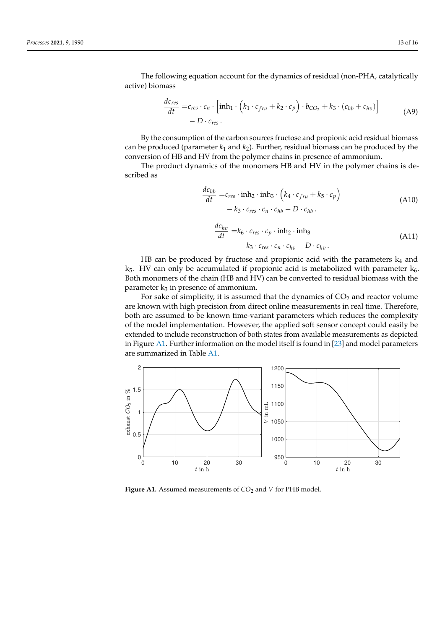The following equation account for the dynamics of residual (non-PHA, catalytically active) biomass

$$
\frac{dc_{res}}{dt} = c_{res} \cdot c_n \cdot \left[ \text{inh}_1 \cdot \left( k_1 \cdot c_{fru} + k_2 \cdot c_p \right) \cdot b_{CO_2} + k_3 \cdot \left( c_{hb} + c_{hv} \right) \right] - D \cdot c_{res} \,.
$$
\n(A9)

By the consumption of the carbon sources fructose and propionic acid residual biomass can be produced (parameter  $k_1$  and  $k_2$ ). Further, residual biomass can be produced by the conversion of HB and HV from the polymer chains in presence of ammonium.

The product dynamics of the monomers HB and HV in the polymer chains is described as

$$
\frac{dc_{hb}}{dt} = c_{res} \cdot \text{inh}_2 \cdot \text{inh}_3 \cdot \left( k_4 \cdot c_{fru} + k_5 \cdot c_p \right) \n- k_3 \cdot c_{res} \cdot c_n \cdot c_{hb} - D \cdot c_{hb} .
$$
\n(A10)

$$
\frac{dc_{hv}}{dt} = k_6 \cdot c_{res} \cdot c_p \cdot inh_2 \cdot inh_3 \n- k_3 \cdot c_{res} \cdot c_n \cdot c_{hv} - D \cdot c_{hv}.
$$
\n(A11)

HB can be produced by fructose and propionic acid with the parameters  $k_4$  and  $k_5$ . HV can only be accumulated if propionic acid is metabolized with parameter  $k_6$ . Both monomers of the chain (HB and HV) can be converted to residual biomass with the parameter  $k_3$  in presence of ammonium.

For sake of simplicity, it is assumed that the dynamics of  $CO<sub>2</sub>$  and reactor volume are known with high precision from direct online measurements in real time. Therefore, both are assumed to be known time-variant parameters which reduces the complexity of the model implementation. However, the applied soft sensor concept could easily be extended to include reconstruction of both states from available measurements as depicted in Figure [A1.](#page-12-0) Further information on the model itself is found in [\[23\]](#page-14-13) and model parameters are summarized in Table [A1.](#page-13-5)

<span id="page-12-0"></span>

Figure A1. Assumed measurements of  $CO<sub>2</sub>$  and *V* for PHB model.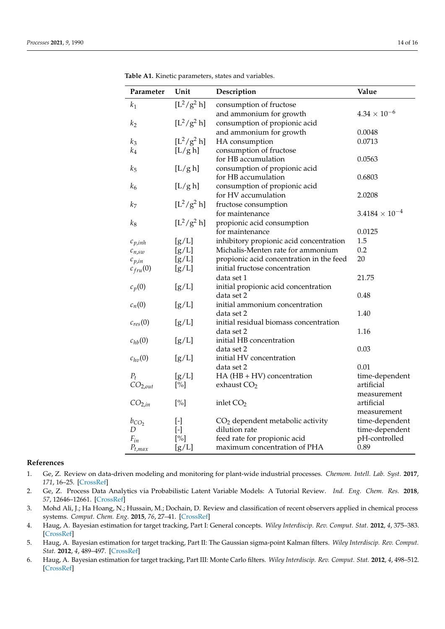| Parameter           | Unit                                                                                                                                                                                                                                                 | Description                              | Value                   |
|---------------------|------------------------------------------------------------------------------------------------------------------------------------------------------------------------------------------------------------------------------------------------------|------------------------------------------|-------------------------|
| $\boldsymbol{k}_1$  | $[L^{2}/g^{2} h]$                                                                                                                                                                                                                                    | consumption of fructose                  |                         |
|                     |                                                                                                                                                                                                                                                      | and ammonium for growth                  | $4.34 \times 10^{-6}$   |
| k <sub>2</sub>      | $[L^{2}/g^{2} h]$                                                                                                                                                                                                                                    | consumption of propionic acid            |                         |
|                     |                                                                                                                                                                                                                                                      | and ammonium for growth                  | 0.0048                  |
| $k_3$               | $[L^2/g^2 h]$                                                                                                                                                                                                                                        | HA consumption                           | 0.0713                  |
| $k_4$               | [L/g h]                                                                                                                                                                                                                                              | consumption of fructose                  |                         |
|                     |                                                                                                                                                                                                                                                      | for HB accumulation                      | 0.0563                  |
| $k_{5}$             | [L/g h]                                                                                                                                                                                                                                              | consumption of propionic acid            |                         |
|                     |                                                                                                                                                                                                                                                      | for HB accumulation                      | 0.6803                  |
| $k_6$               | [L/g h]                                                                                                                                                                                                                                              | consumption of propionic acid            |                         |
|                     |                                                                                                                                                                                                                                                      | for HV accumulation                      | 2.0208                  |
| k <sub>7</sub>      | $[L^{2}/g^{2} h]$                                                                                                                                                                                                                                    | fructose consumption                     |                         |
|                     |                                                                                                                                                                                                                                                      | for maintenance                          | $3.4184 \times 10^{-4}$ |
| $k_8$               | $[L^{2}/g^{2} h]$                                                                                                                                                                                                                                    | propionic acid consumption               |                         |
|                     |                                                                                                                                                                                                                                                      | for maintenance                          | 0.0125                  |
| $c_{p,inh}$         | [g/L]                                                                                                                                                                                                                                                | inhibitory propionic acid concentration  | 1.5                     |
| $c_{n,sw}$          | [g/L]                                                                                                                                                                                                                                                | Michalis-Menten rate for ammonium        | 0.2                     |
| $c_{p,in}$          | [g/L]                                                                                                                                                                                                                                                | propionic acid concentration in the feed | 20                      |
| $c_{fru}(0)$        | [g/L]                                                                                                                                                                                                                                                | initial fructose concentration           |                         |
|                     |                                                                                                                                                                                                                                                      | data set 1                               | 21.75                   |
| $c_p(0)$            | [g/L]                                                                                                                                                                                                                                                | initial propionic acid concentration     |                         |
|                     |                                                                                                                                                                                                                                                      | data set 2                               | 0.48                    |
| $c_n(0)$            | [g/L]                                                                                                                                                                                                                                                | initial ammonium concentration           |                         |
|                     |                                                                                                                                                                                                                                                      | data set 2                               | 1.40                    |
| $c_{res}(0)$        | [g/L]                                                                                                                                                                                                                                                | initial residual biomass concentration   |                         |
|                     |                                                                                                                                                                                                                                                      | data set 2                               | 1.16                    |
| $c_{hb}(0)$         | [g/L]                                                                                                                                                                                                                                                | initial HB concentration                 |                         |
|                     |                                                                                                                                                                                                                                                      | data set 2                               | 0.03                    |
| $c_{hv}(0)$         | [g/L]                                                                                                                                                                                                                                                | initial HV concentration                 |                         |
|                     |                                                                                                                                                                                                                                                      | data set 2                               | 0.01                    |
| $P_t$               | [g/L]                                                                                                                                                                                                                                                | $HA$ ( $HB + HV$ ) concentration         | time-dependent          |
| CO <sub>2,out</sub> | $[\%]$                                                                                                                                                                                                                                               | exhaust $CO2$                            | artificial              |
|                     |                                                                                                                                                                                                                                                      |                                          | measurement             |
| CO <sub>2,in</sub>  | $[\%]$                                                                                                                                                                                                                                               | inlet $CO2$                              | artificial              |
|                     |                                                                                                                                                                                                                                                      |                                          | measurement             |
| $b_{CO_2}$          | $\left[ -\right] % \begin{minipage}[b]{.45\linewidth} \centering \includegraphics[width=\textwidth]{figs/fig_4-1.png} \caption{The number of times in the left end.} \label{fig:fig_4-1} \end{minipage} \vspace{0.05\linewidth} \label{fig:fig_4-1}$ | $CO2$ dependent metabolic activity       | time-dependent          |
| D                   | $\left[ -\right]$                                                                                                                                                                                                                                    | dilution rate                            | time-dependent          |
| $F_{in}$            | $[\%]$                                                                                                                                                                                                                                               | feed rate for propionic acid             | pH-controlled<br>0.89   |
| $P_{t,max}$         | [g/L]                                                                                                                                                                                                                                                | maximum concentration of PHA             |                         |

<span id="page-13-5"></span>**Table A1.** Kinetic parameters, states and variables.

#### **References**

- <span id="page-13-0"></span>1. Ge, Z. Review on data-driven modeling and monitoring for plant-wide industrial processes. *Chemom. Intell. Lab. Syst.* **2017**, *171*, 16–25. [\[CrossRef\]](http://doi.org/10.1016/j.chemolab.2017.09.021)
- <span id="page-13-1"></span>2. Ge, Z. Process Data Analytics via Probabilistic Latent Variable Models: A Tutorial Review. *Ind. Eng. Chem. Res.* **2018**, *57*, 12646–12661. [\[CrossRef\]](http://dx.doi.org/10.1021/acs.iecr.8b02913)
- <span id="page-13-2"></span>3. Mohd Ali, J.; Ha Hoang, N.; Hussain, M.; Dochain, D. Review and classification of recent observers applied in chemical process systems. *Comput. Chem. Eng.* **2015**, *76*, 27–41. [\[CrossRef\]](http://dx.doi.org/10.1016/j.compchemeng.2015.01.019)
- <span id="page-13-3"></span>4. Haug, A. Bayesian estimation for target tracking, Part I: General concepts. *Wiley Interdiscip. Rev. Comput. Stat.* **2012**, *4*, 375–383. [\[CrossRef\]](http://dx.doi.org/10.1002/wics.1211)
- 5. Haug, A. Bayesian estimation for target tracking, Part II: The Gaussian sigma-point Kalman filters. *Wiley Interdiscip. Rev. Comput. Stat.* **2012**, *4*, 489–497. [\[CrossRef\]](http://dx.doi.org/10.1002/wics.1215)
- <span id="page-13-4"></span>6. Haug, A. Bayesian estimation for target tracking, Part III: Monte Carlo filters. *Wiley Interdiscip. Rev. Comput. Stat.* **2012**, *4*, 498–512. [\[CrossRef\]](http://dx.doi.org/10.1002/wics.1210)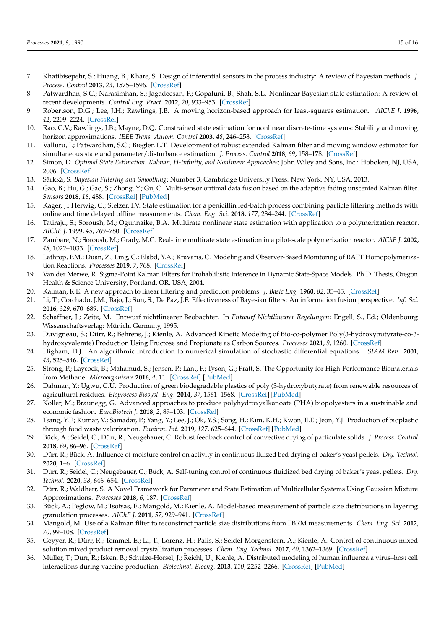- 7. Khatibisepehr, S.; Huang, B.; Khare, S. Design of inferential sensors in the process industry: A review of Bayesian methods. *J. Process. Control* **2013**, *23*, 1575–1596. [\[CrossRef\]](http://dx.doi.org/10.1016/j.jprocont.2013.05.007)
- <span id="page-14-0"></span>8. Patwardhan, S.C.; Narasimhan, S.; Jagadeesan, P.; Gopaluni, B.; Shah, S.L. Nonlinear Bayesian state estimation: A review of recent developments. *Control Eng. Pract.* **2012**, *20*, 933–953. [\[CrossRef\]](http://dx.doi.org/10.1016/j.conengprac.2012.04.003)
- <span id="page-14-1"></span>9. Robertson, D.G.; Lee, J.H.; Rawlings, J.B. A moving horizon-based approach for least-squares estimation. *AIChE J.* **1996**, *42*, 2209–2224. [\[CrossRef\]](http://dx.doi.org/10.1002/aic.690420811)
- 10. Rao, C.V.; Rawlings, J.B.; Mayne, D.Q. Constrained state estimation for nonlinear discrete-time systems: Stability and moving horizon approximations. *IEEE Trans. Autom. Control* **2003**, *48*, 246–258. [\[CrossRef\]](http://dx.doi.org/10.1109/TAC.2002.808470)
- <span id="page-14-2"></span>11. Valluru, J.; Patwardhan, S.C.; Biegler, L.T. Development of robust extended Kalman filter and moving window estimator for simultaneous state and parameter/disturbance estimation. *J. Process. Control* **2018**, *69*, 158–178. [\[CrossRef\]](http://dx.doi.org/10.1016/j.jprocont.2018.05.008)
- <span id="page-14-3"></span>12. Simon, D. *Optimal State Estimation: Kalman, H-Infinity, and Nonlinear Approaches*; John Wiley and Sons, Inc.: Hoboken, NJ, USA, 2006. [\[CrossRef\]](http://dx.doi.org/10.1002/0470045345)
- <span id="page-14-4"></span>13. Särkkä, S. *Bayesian Filtering and Smoothing*; Number 3; Cambridge University Press: New York, NY, USA, 2013.
- <span id="page-14-5"></span>Gao, B.; Hu, G.; Gao, S.; Zhong, Y.; Gu, C. Multi-sensor optimal data fusion based on the adaptive fading unscented Kalman filter. *Sensors* **2018**, *18*, 488. [\[CrossRef\]](http://dx.doi.org/10.3390/s18020488) [\[PubMed\]](http://www.ncbi.nlm.nih.gov/pubmed/29415509)
- <span id="page-14-6"></span>15. Kager, J.; Herwig, C.; Stelzer, I.V. State estimation for a penicillin fed-batch process combining particle filtering methods with online and time delayed offline measurements. *Chem. Eng. Sci.* **2018**, *177*, 234–244. [\[CrossRef\]](http://dx.doi.org/10.1016/j.ces.2017.11.049)
- <span id="page-14-7"></span>16. Tatiraju, S.; Soroush, M.; Ogunnaike, B.A. Multirate nonlinear state estimation with application to a polymerization reactor. *AIChE J.* **1999**, *45*, 769–780. [\[CrossRef\]](http://dx.doi.org/10.1002/aic.690450412)
- 17. Zambare, N.; Soroush, M.; Grady, M.C. Real-time multirate state estimation in a pilot-scale polymerization reactor. *AIChE J.* **2002**, *48*, 1022–1033. [\[CrossRef\]](http://dx.doi.org/10.1002/aic.690480512)
- <span id="page-14-8"></span>18. Lathrop, P.M.; Duan, Z.; Ling, C.; Elabd, Y.A.; Kravaris, C. Modeling and Observer-Based Monitoring of RAFT Homopolymerization Reactions. *Processes* **2019**, *7*, 768. [\[CrossRef\]](http://dx.doi.org/10.3390/pr7100768)
- <span id="page-14-9"></span>19. Van der Merwe, R. Sigma-Point Kalman Filters for Probablilistic Inference in Dynamic State-Space Models. Ph.D. Thesis, Oregon Health & Science University, Portland, OR, USA, 2004.
- <span id="page-14-10"></span>20. Kalman, R.E. A new approach to linear filtering and prediction problems. *J. Basic Eng.* **1960**, *82*, 35–45. [\[CrossRef\]](http://dx.doi.org/10.1115/1.3662552)
- <span id="page-14-11"></span>21. Li, T.; Corchado, J.M.; Bajo, J.; Sun, S.; De Paz, J.F. Effectiveness of Bayesian filters: An information fusion perspective. *Inf. Sci.* **2016**, *329*, 670–689. [\[CrossRef\]](http://dx.doi.org/10.1016/j.ins.2015.09.041)
- <span id="page-14-12"></span>22. Schaffner, J.; Zeitz, M. Entwurf nichtlinearer Beobachter. In *Entwurf Nichtlinearer Regelungen*; Engell, S., Ed.; Oldenbourg Wissenschaftsverlag: Münich, Germany, 1995.
- <span id="page-14-13"></span>23. Duvigneau, S.; Dürr, R.; Behrens, J.; Kienle, A. Advanced Kinetic Modeling of Bio-co-polymer Poly(3-hydroxybutyrate-co-3 hydroxyvalerate) Production Using Fructose and Propionate as Carbon Sources. *Processes* **2021**, *9*, 1260. [\[CrossRef\]](http://dx.doi.org/10.3390/pr9081260)
- <span id="page-14-14"></span>24. Higham, D.J. An algorithmic introduction to numerical simulation of stochastic differential equations. *SIAM Rev.* **2001**, *43*, 525–546. [\[CrossRef\]](http://dx.doi.org/10.1137/S0036144500378302)
- <span id="page-14-15"></span>25. Strong, P.; Laycock, B.; Mahamud, S.; Jensen, P.; Lant, P.; Tyson, G.; Pratt, S. The Opportunity for High-Performance Biomaterials from Methane. *Microorganisms* **2016**, *4*, 11. [\[CrossRef\]](http://dx.doi.org/10.3390/microorganisms4010011) [\[PubMed\]](http://www.ncbi.nlm.nih.gov/pubmed/27681905)
- <span id="page-14-16"></span>26. Dahman, Y.; Ugwu, C.U. Production of green biodegradable plastics of poly (3-hydroxybutyrate) from renewable resources of agricultural residues. *Bioprocess Biosyst. Eng.* **2014**, *37*, 1561–1568. [\[CrossRef\]](http://dx.doi.org/10.1007/s00449-014-1128-2) [\[PubMed\]](http://www.ncbi.nlm.nih.gov/pubmed/24492886)
- 27. Koller, M.; Braunegg, G. Advanced approaches to produce polyhydroxyalkanoate (PHA) biopolyesters in a sustainable and economic fashion. *EuroBiotech J.* **2018**, *2*, 89–103. [\[CrossRef\]](http://dx.doi.org/10.2478/ebtj-2018-0013)
- <span id="page-14-17"></span>28. Tsang, Y.F.; Kumar, V.; Samadar, P.; Yang, Y.; Lee, J.; Ok, Y.S.; Song, H.; Kim, K.H.; Kwon, E.E.; Jeon, Y.J. Production of bioplastic through food waste valorization. *Environ. Int.* **2019**, *127*, 625–644. [\[CrossRef\]](http://dx.doi.org/10.1016/j.envint.2019.03.076) [\[PubMed\]](http://www.ncbi.nlm.nih.gov/pubmed/30991219)
- <span id="page-14-18"></span>29. Bück, A.; Seidel, C.; Dürr, R.; Neugebauer, C. Robust feedback control of convective drying of particulate solids. *J. Process. Control* **2018**, *69*, 86–96. [\[CrossRef\]](http://dx.doi.org/10.1016/j.jprocont.2018.07.010)
- 30. Dürr, R.; Bück, A. Influence of moisture control on activity in continuous fluized bed drying of baker's yeast pellets. *Dry. Technol.* **2020**, 1–6. [\[CrossRef\]](http://dx.doi.org/10.1080/07373937.2020.1828449)
- <span id="page-14-19"></span>31. Dürr, R.; Seidel, C.; Neugebauer, C.; Bück, A. Self-tuning control of continuous fluidized bed drying of baker's yeast pellets. *Dry. Technol.* **2020**, *38*, 646–654. [\[CrossRef\]](http://dx.doi.org/10.1080/07373937.2019.1662800)
- <span id="page-14-20"></span>32. Dürr, R.; Waldherr, S. A Novel Framework for Parameter and State Estimation of Multicellular Systems Using Gaussian Mixture Approximations. *Processes* **2018**, *6*, 187. [\[CrossRef\]](http://dx.doi.org/10.3390/pr6100187)
- <span id="page-14-21"></span>33. Bück, A.; Peglow, M.; Tsotsas, E.; Mangold, M.; Kienle, A. Model-based measurement of particle size distributions in layering granulation processes. *AIChE J.* **2011**, *57*, 929–941. [\[CrossRef\]](http://dx.doi.org/10.1002/aic.12314)
- 34. Mangold, M. Use of a Kalman filter to reconstruct particle size distributions from FBRM measurements. *Chem. Eng. Sci.* **2012**, *70*, 99–108. [\[CrossRef\]](http://dx.doi.org/10.1016/j.ces.2011.05.052)
- <span id="page-14-22"></span>35. Geyyer, R.; Dürr, R.; Temmel, E.; Li, T.; Lorenz, H.; Palis, S.; Seidel-Morgenstern, A.; Kienle, A. Control of continuous mixed solution mixed product removal crystallization processes. *Chem. Eng. Technol.* **2017**, *40*, 1362–1369. [\[CrossRef\]](http://dx.doi.org/10.1002/ceat.201600692)
- <span id="page-14-23"></span>36. Müller, T.; Dürr, R.; Isken, B.; Schulze-Horsel, J.; Reichl, U.; Kienle, A. Distributed modeling of human influenza a virus–host cell interactions during vaccine production. *Biotechnol. Bioeng.* **2013**, *110*, 2252–2266. [\[CrossRef\]](http://dx.doi.org/10.1002/bit.24878) [\[PubMed\]](http://www.ncbi.nlm.nih.gov/pubmed/23475474)